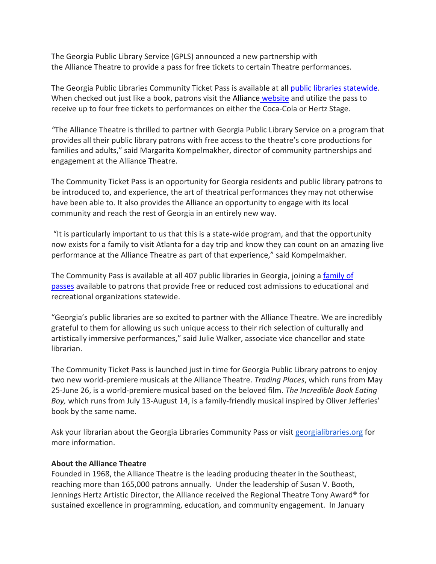The Georgia Public Library Service (GPLS) announced a new partnership with the Alliance Theatre to provide a pass for free tickets to certain Theatre performances.

The Georgia Public Libraries Community Ticket Pass is available at all [public libraries statewide.](https://georgialibraries.org/find-a-library/) When checked out just like a book, patrons visit the [Alliance](https://alliancetheatre.org/) website and utilize the pass to receive up to four free tickets to performances on either the Coca-Cola or Hertz Stage.

*"*The Alliance Theatre is thrilled to partner with Georgia Public Library Service on a program that provides all their public library patrons with free access to the theatre's core productions for families and adults," said Margarita Kompelmakher, director of community partnerships and engagement at the Alliance Theatre.

The Community Ticket Pass is an opportunity for Georgia residents and public library patrons to be introduced to, and experience, the art of theatrical performances they may not otherwise have been able to. It also provides the Alliance an opportunity to engage with its local community and reach the rest of Georgia in an entirely new way.

"It is particularly important to us that this is a state-wide program, and that the opportunity now exists for a family to visit Atlanta for a day trip and know they can count on an amazing live performance at the Alliance Theatre as part of that experience," said Kompelmakher.

The Community Pass is available at all 407 public libraries in Georgia, joining a [family of](https://georgialibraries.org/partnerships/)  [passes](https://georgialibraries.org/partnerships/) available to patrons that provide free or reduced cost admissions to educational and recreational organizations statewide.

"Georgia's public libraries are so excited to partner with the Alliance Theatre. We are incredibly grateful to them for allowing us such unique access to their rich selection of culturally and artistically immersive performances," said Julie Walker, associate vice chancellor and state librarian.

The Community Ticket Pass is launched just in time for Georgia Public Library patrons to enjoy two new world-premiere musicals at the Alliance Theatre. *Trading Places*, which runs from May 25-June 26, is a world-premiere musical based on the beloved film. *The Incredible Book Eating Boy,* which runs from July 13-August 14, is a family-friendly musical inspired by Oliver Jefferies' book by the same name.

Ask your librarian about the Georgia Libraries Community Pass or visit [georgialibraries.org](http://georgialibraries.org/) for more information.

## **About the Alliance Theatre**

Founded in 1968, the Alliance Theatre is the leading producing theater in the Southeast, reaching more than 165,000 patrons annually. Under the leadership of Susan V. Booth, Jennings Hertz Artistic Director, the Alliance received the Regional Theatre Tony Award® for sustained excellence in programming, education, and community engagement. In January